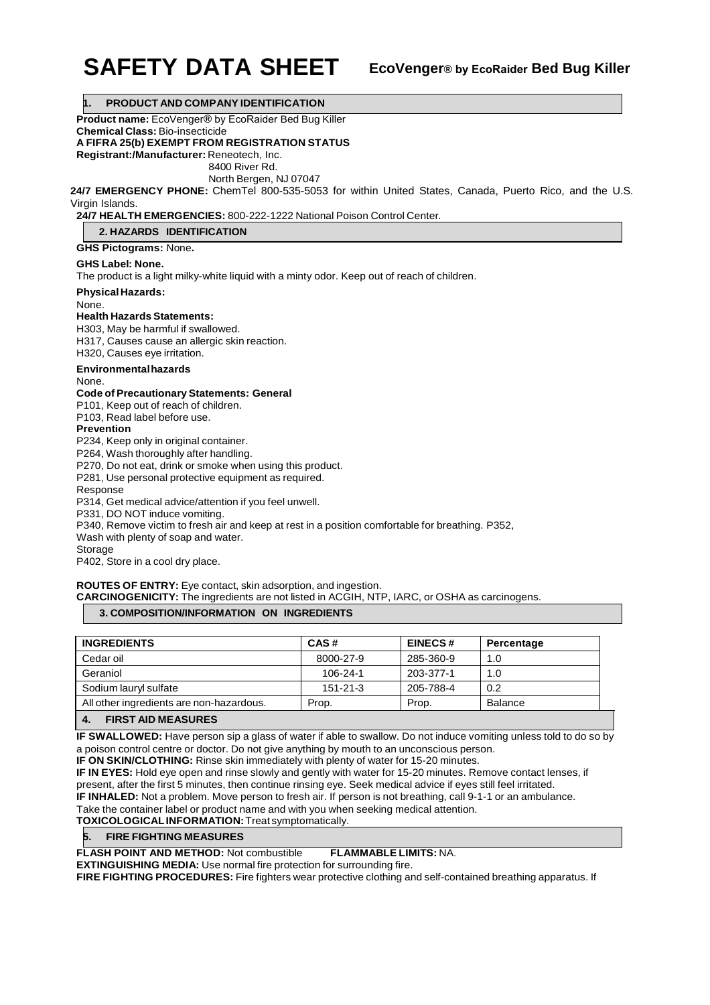# **SAFETY DATA SHEET EcoVenger® by EcoRaider Bed Bug Killer**

**1. PRODUCT AND COMPANY IDENTIFICATION**

**Product name:** EcoVenger**®** by EcoRaider Bed Bug Killer

**Chemical Class:** Bio-insecticide

**A FIFRA 25(b) EXEMPT FROM REGISTRATION STATUS**

**Registrant:/Manufacturer:** Reneotech, Inc.

8400 River Rd.

North Bergen, NJ 07047

**24/7 EMERGENCY PHONE:** ChemTel 800-535-5053 for within United States, Canada, Puerto Rico, and the U.S. Virgin Islands.

**24/7 HEALTH EMERGENCIES:** 800-222-1222 National Poison Control Center.

**2. HAZARDS IDENTIFICATION**

**GHS Pictograms:** None**.** 

## **GHS Label: None.**

The product is a light milky-white liquid with a minty odor. Keep out of reach of children.

**Physical Hazards:**

None.

## **Health Hazards Statements:**

H303, May be harmful if swallowed. H317, Causes cause an allergic skin reaction.

H320, Causes eye irritation.

## **Environmental hazards**

None.

## **Code of Precautionary Statements: General**

P101, Keep out of reach of children.

P103, Read label before use.

## **Prevention**

P234, Keep only in original container.

P264, Wash thoroughly after handling.

P270, Do not eat, drink or smoke when using this product.

P281, Use personal protective equipment as required.

Response

P314, Get medical advice/attention if you feel unwell.

P331, DO NOT induce vomiting.

P340, Remove victim to fresh air and keep at rest in a position comfortable for breathing. P352,

Wash with plenty of soap and water.

Storage

P402, Store in a cool dry place.

## **ROUTES OF ENTRY:** Eye contact, skin adsorption, and ingestion.

**CARCINOGENICITY:** The ingredients are not listed in ACGIH, NTP, IARC, or OSHA as carcinogens.

## **3. COMPOSITION/INFORMATION ON INGREDIENTS**

| CAS#           | <b>EINECS#</b> | Percentage     |
|----------------|----------------|----------------|
| 8000-27-9      | 285-360-9      | 1.0            |
| $106 - 24 - 1$ | 203-377-1      | 1.0            |
| $151 - 21 - 3$ | 205-788-4      | 0.2            |
| Prop.          | Prop.          | <b>Balance</b> |
|                |                |                |

**4. FIRST AID MEASURES**

**IF SWALLOWED:** Have person sip a glass of water if able to swallow. Do not induce vomiting unless told to do so by a poison control centre or doctor. Do not give anything by mouth to an unconscious person.

**IF ON SKIN/CLOTHING:** Rinse skin immediately with plenty of water for 15-20 minutes.

**IF IN EYES:** Hold eye open and rinse slowly and gently with water for 15-20 minutes. Remove contact lenses, if present, after the first 5 minutes, then continue rinsing eye. Seek medical advice if eyes still feel irritated.

**IF INHALED:** Not a problem. Move person to fresh air. If person is not breathing, call 9-1-1 or an ambulance.

Take the container label or product name and with you when seeking medical attention.

**TOXICOLOGICAL INFORMATION:** Treat symptomatically.

**5. FIRE FIGHTING MEASURES**

**FLASH POINT AND METHOD:** Not combustible **FLAMMABLE LIMITS:** NA.

**EXTINGUISHING MEDIA:** Use normal fire protection for surrounding fire.

**FIRE FIGHTING PROCEDURES:** Fire fighters wear protective clothing and self-contained breathing apparatus. If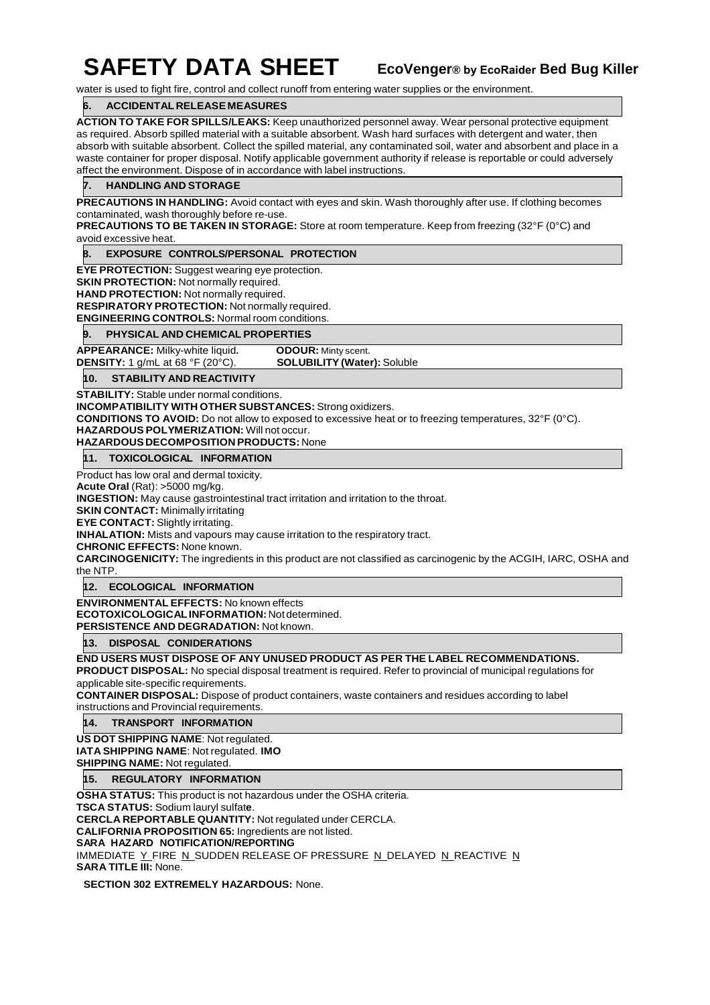## **SAFETY DATA SHEET**

**EcoVenger® by EcoRaider Bed Bug Killer**

water is used to fight fire, control and collect runoff from entering water supplies or the environment.

## **6. ACCIDENTAL RELEASE MEASURES**

**ACTION TO TAKE FOR SPILLS/LEAKS:** Keep unauthorized personnel away. Wear personal protective equipment as required. Absorb spilled material with a suitable absorbent. Wash hard surfaces with detergent and water, then absorb with suitable absorbent. Collect the spilled material, any contaminated soil, water and absorbent and place in a waste container for proper disposal. Notify applicable government authority if release is reportable or could adversely affect the environment. Dispose of in accordance with label instructions.

## **7. HANDLING AND STORAGE**

**PRECAUTIONS IN HANDLING:** Avoid contact with eyes and skin. Wash thoroughly after use. If clothing becomes contaminated, wash thoroughly before re-use.

**PRECAUTIONS TO BE TAKEN IN STORAGE:** Store at room temperature. Keep from freezing (32°F (0°C) and avoid excessive heat.

## **8. EXPOSURE CONTROLS/PERSONAL PROTECTION**

**EYE PROTECTION:** Suggest wearing eye protection. **SKIN PROTECTION:** Not normally required. **HAND PROTECTION:** Not normally required. **RESPIRATORY PROTECTION:** Not normally required. **ENGINEERING CONTROLS:** Normal room conditions.

## **9. PHYSICAL AND CHEMICAL PROPERTIES**

**APPEARANCE:** Milky-white liquid. **DDOUR:** Minty scent.<br>**DENSITY:** 1 g/mL at 68 °F (20°C). **SOLUBILITY (Water):** Soluble **DENSITY:** 1 g/mL at 68 °F (20°C).

## **10. STABILITY AND REACTIVITY**

**STABILITY:** Stable under normal conditions. **INCOMPATIBILITY WITH OTHER SUBSTANCES:** Strong oxidizers. **CONDITIONS TO AVOID:** Do not allow to exposed to excessive heat or to freezing temperatures, 32°F (0°C).

**HAZARDOUS POLYMERIZATION:** Will not occur.

## **HAZARDOUS DECOMPOSITION PRODUCTS:** None

**11. TOXICOLOGICAL INFORMATION**

Product has low oral and dermal toxicity.

**Acute Oral** (Rat): >5000 mg/kg.

**INGESTION:** May cause gastrointestinal tract irritation and irritation to the throat.

**SKIN CONTACT:** Minimally irritating

**EYE CONTACT:** Slightly irritating.

**INHALATION:** Mists and vapours may cause irritation to the respiratory tract.

**CHRONIC EFFECTS:** None known.

**CARCINOGENICITY:** The ingredients in this product are not classified as carcinogenic by the ACGIH, IARC, OSHA and the NTP.

**12. ECOLOGICAL INFORMATION**

**ENVIRONMENTAL EFFECTS:** No known effects **ECOTOXICOLOGICAL INFORMATION:** Not determined. **PERSISTENCE AND DEGRADATION:** Not known.

**13. DISPOSAL CONIDERATIONS**

**END USERS MUST DISPOSE OF ANY UNUSED PRODUCT AS PER THE LABEL RECOMMENDATIONS.**

**PRODUCT DISPOSAL:** No special disposal treatment is required. Refer to provincial of municipal regulations for applicable site-specific requirements.

**CONTAINER DISPOSAL:** Dispose of product containers, waste containers and residues according to label instructions and Provincial requirements.

**14. TRANSPORT INFORMATION**

**US DOT SHIPPING NAME**: Not regulated. **IATA SHIPPING NAME**: Not regulated. **IMO** 

**SHIPPING NAME: Not regulated.** 

**15. REGULATORY INFORMATION**

**OSHA STATUS:** This product is not hazardous under the OSHA criteria.

**TSCA STATUS:** Sodium lauryl sulfat**e**.

**CERCLA REPORTABLE QUANTITY:** Not regulated under CERCLA.

**CALIFORNIA PROPOSITION 65:** Ingredients are not listed.

**SARA HAZARD NOTIFICATION/REPORTING**

IMMEDIATE Y FIRE N SUDDEN RELEASE OF PRESSURE N DELAYED N REACTIVE N **SARA TITLE III:** None.

**SECTION 302 EXTREMELY HAZARDOUS:** None.